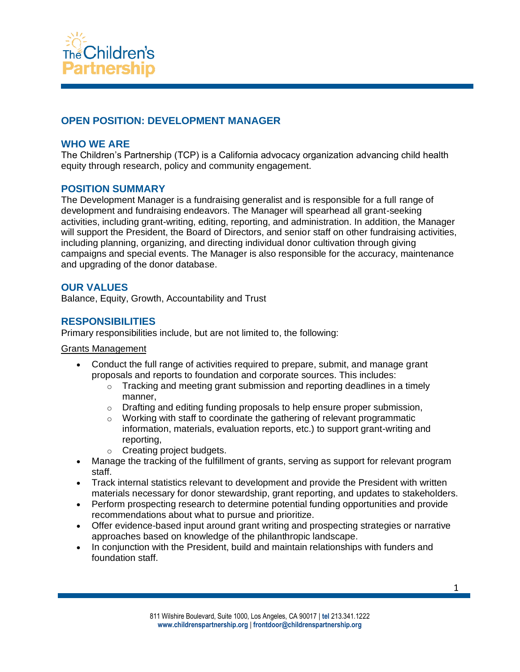

# **OPEN POSITION: DEVELOPMENT MANAGER**

## **WHO WE ARE**

The Children's Partnership (TCP) is a California advocacy organization advancing child health equity through research, policy and community engagement.

## **POSITION SUMMARY**

The Development Manager is a fundraising generalist and is responsible for a full range of development and fundraising endeavors. The Manager will spearhead all grant-seeking activities, including grant-writing, editing, reporting, and administration. In addition, the Manager will support the President, the Board of Directors, and senior staff on other fundraising activities, including planning, organizing, and directing individual donor cultivation through giving campaigns and special events. The Manager is also responsible for the accuracy, maintenance and upgrading of the donor database.

## **OUR VALUES**

Balance, Equity, Growth, Accountability and Trust

### **RESPONSIBILITIES**

Primary responsibilities include, but are not limited to, the following:

#### Grants Management

- Conduct the full range of activities required to prepare, submit, and manage grant proposals and reports to foundation and corporate sources. This includes:
	- $\circ$  Tracking and meeting grant submission and reporting deadlines in a timely manner,
	- $\circ$  Drafting and editing funding proposals to help ensure proper submission,
	- o Working with staff to coordinate the gathering of relevant programmatic information, materials, evaluation reports, etc.) to support grant-writing and reporting,
	- o Creating project budgets.
- Manage the tracking of the fulfillment of grants, serving as support for relevant program staff.
- Track internal statistics relevant to development and provide the President with written materials necessary for donor stewardship, grant reporting, and updates to stakeholders.
- Perform prospecting research to determine potential funding opportunities and provide recommendations about what to pursue and prioritize.
- Offer evidence-based input around grant writing and prospecting strategies or narrative approaches based on knowledge of the philanthropic landscape.
- In conjunction with the President, build and maintain relationships with funders and foundation staff.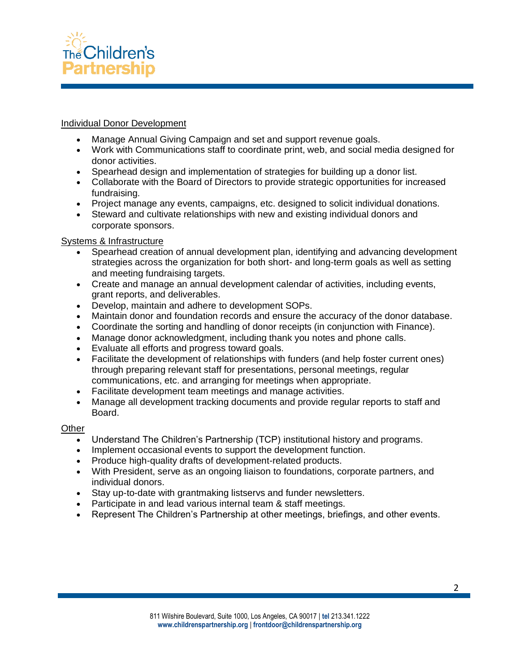

### Individual Donor Development

- Manage Annual Giving Campaign and set and support revenue goals.
- Work with Communications staff to coordinate print, web, and social media designed for donor activities.
- Spearhead design and implementation of strategies for building up a donor list.
- Collaborate with the Board of Directors to provide strategic opportunities for increased fundraising.
- Project manage any events, campaigns, etc. designed to solicit individual donations.
- Steward and cultivate relationships with new and existing individual donors and corporate sponsors.

#### Systems & Infrastructure

- Spearhead creation of annual development plan, identifying and advancing development strategies across the organization for both short- and long-term goals as well as setting and meeting fundraising targets.
- Create and manage an annual development calendar of activities, including events, grant reports, and deliverables.
- Develop, maintain and adhere to development SOPs.
- Maintain donor and foundation records and ensure the accuracy of the donor database.
- Coordinate the sorting and handling of donor receipts (in conjunction with Finance).
- Manage donor acknowledgment, including thank you notes and phone calls.
- Evaluate all efforts and progress toward goals.
- Facilitate the development of relationships with funders (and help foster current ones) through preparing relevant staff for presentations, personal meetings, regular communications, etc. and arranging for meetings when appropriate.
- Facilitate development team meetings and manage activities.
- Manage all development tracking documents and provide regular reports to staff and Board.

#### **Other**

- Understand The Children's Partnership (TCP) institutional history and programs.
- Implement occasional events to support the development function.
- Produce high-quality drafts of development-related products.
- With President, serve as an ongoing liaison to foundations, corporate partners, and individual donors.
- Stay up-to-date with grantmaking listservs and funder newsletters.
- Participate in and lead various internal team & staff meetings.
- Represent The Children's Partnership at other meetings, briefings, and other events.